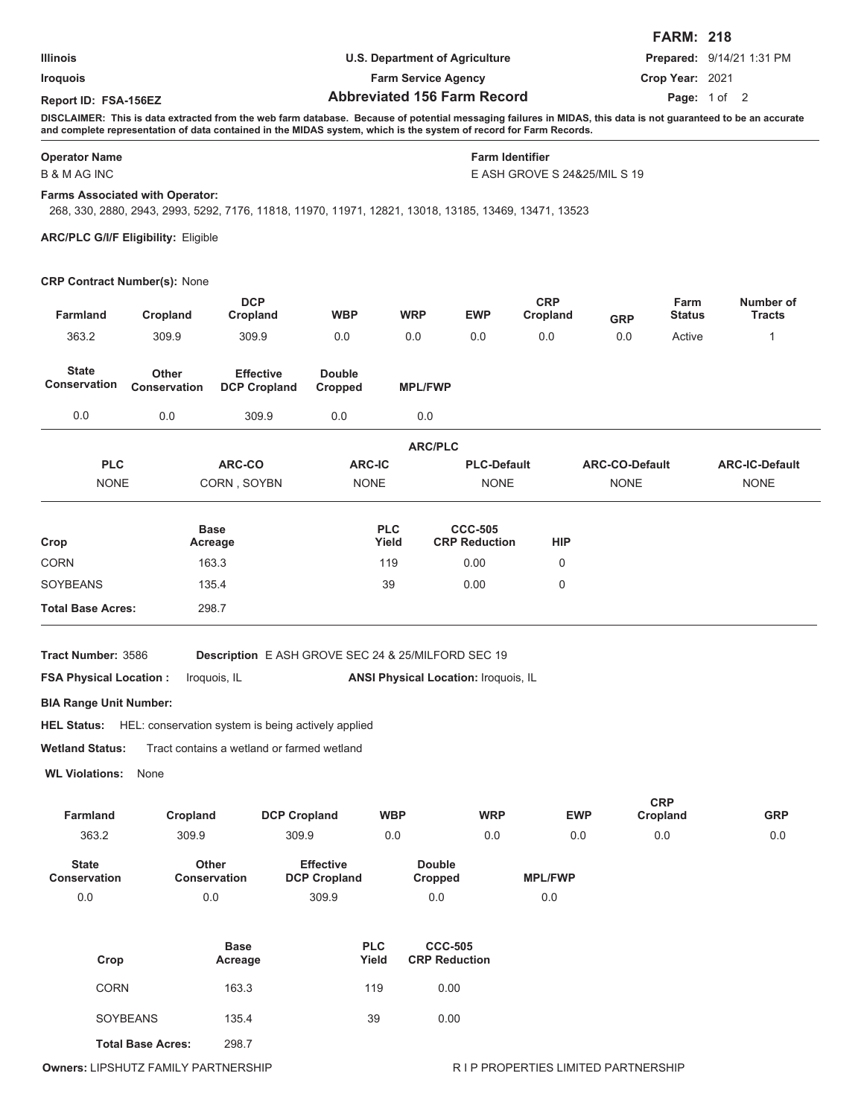|                      |                                       | <b>FARM: 218</b>                 |
|----------------------|---------------------------------------|----------------------------------|
| <b>Illinois</b>      | <b>U.S. Department of Agriculture</b> | <b>Prepared: 9/14/21 1:31 PM</b> |
| <b>Iroquois</b>      | <b>Farm Service Agency</b>            | Crop Year: 2021                  |
| Report ID: FSA-156EZ | <b>Abbreviated 156 Farm Record</b>    | <b>Page:</b> $1 \text{ of } 2$   |

**DISCLAIMER: This is data extracted from the web farm database. Because of potential messaging failures in MIDAS, this data is not guaranteed to be an accurate and complete representation of data contained in the MIDAS system, which is the system of record for Farm Records.**

## **Operator Name Farm Identifier**

B & M AG INC

E ASH GROVE S 24&25/MIL S 19

## **Farms Associated with Operator:**

268, 330, 2880, 2943, 2993, 5292, 7176, 11818, 11970, 11971, 12821, 13018, 13185, 13469, 13471, 13523

**ARC/PLC G/I/F Eligibility:** Eligible

## **CRP Contract Number(s):** None

| Farmland                            | Cropland                            | <b>DCP</b><br>Cropland                                         | <b>WBP</b>                              | <b>WRP</b>               | <b>EWP</b>                             | <b>CRP</b><br>Cropland | <b>GRP</b>            | Farm<br><b>Status</b> | Number of<br><b>Tracts</b> |
|-------------------------------------|-------------------------------------|----------------------------------------------------------------|-----------------------------------------|--------------------------|----------------------------------------|------------------------|-----------------------|-----------------------|----------------------------|
| 363.2                               | 309.9                               | 309.9                                                          | 0.0                                     | 0.0                      | 0.0                                    | 0.0                    | 0.0                   | Active                | 1                          |
| <b>State</b><br><b>Conservation</b> | <b>Other</b><br><b>Conservation</b> | <b>Effective</b><br><b>DCP Cropland</b>                        | <b>Double</b><br>Cropped                | <b>MPL/FWP</b>           |                                        |                        |                       |                       |                            |
| 0.0                                 | 0.0                                 | 309.9                                                          | 0.0                                     | 0.0                      |                                        |                        |                       |                       |                            |
|                                     |                                     |                                                                |                                         | <b>ARC/PLC</b>           |                                        |                        |                       |                       |                            |
| <b>PLC</b>                          |                                     | ARC-CO                                                         | <b>ARC-IC</b>                           |                          | <b>PLC-Default</b>                     |                        | <b>ARC-CO-Default</b> |                       | <b>ARC-IC-Default</b>      |
| <b>NONE</b>                         |                                     | CORN, SOYBN                                                    | <b>NONE</b>                             |                          | <b>NONE</b>                            |                        | <b>NONE</b>           |                       | <b>NONE</b>                |
| Crop                                |                                     | <b>Base</b><br>Acreage                                         |                                         | <b>PLC</b><br>Yield      | <b>CCC-505</b><br><b>CRP Reduction</b> | <b>HIP</b>             |                       |                       |                            |
| <b>CORN</b>                         |                                     | 163.3                                                          |                                         | 119                      | 0.00                                   | $\Omega$               |                       |                       |                            |
| <b>SOYBEANS</b>                     |                                     | 135.4                                                          |                                         | 39                       | 0.00                                   | $\mathbf 0$            |                       |                       |                            |
| <b>Total Base Acres:</b>            |                                     | 298.7                                                          |                                         |                          |                                        |                        |                       |                       |                            |
| Tract Number: 3586                  |                                     | Description E ASH GROVE SEC 24 & 25/MILFORD SEC 19             |                                         |                          |                                        |                        |                       |                       |                            |
| <b>FSA Physical Location:</b>       |                                     | Iroquois, IL                                                   |                                         |                          | ANSI Physical Location: Iroquois, IL   |                        |                       |                       |                            |
| <b>BIA Range Unit Number:</b>       |                                     |                                                                |                                         |                          |                                        |                        |                       |                       |                            |
|                                     |                                     | HEL Status: HEL: conservation system is being actively applied |                                         |                          |                                        |                        |                       |                       |                            |
| <b>Wetland Status:</b>              |                                     | Tract contains a wetland or farmed wetland                     |                                         |                          |                                        |                        |                       |                       |                            |
|                                     | None                                |                                                                |                                         |                          |                                        |                        |                       |                       |                            |
| <b>WL Violations:</b>               |                                     |                                                                |                                         |                          |                                        |                        |                       |                       |                            |
|                                     |                                     |                                                                |                                         |                          |                                        |                        |                       | <b>CRP</b>            |                            |
| <b>Farmland</b><br>363.2            | Cropland<br>309.9                   | <b>DCP Cropland</b><br>309.9                                   |                                         | <b>WBP</b><br>0.0        | <b>WRP</b><br>0.0                      |                        | <b>EWP</b><br>0.0     | Cropland<br>0.0       | <b>GRP</b><br>0.0          |
| <b>State</b><br><b>Conservation</b> | <b>Other</b><br><b>Conservation</b> |                                                                | <b>Effective</b><br><b>DCP Cropland</b> | <b>Double</b><br>Cropped |                                        | <b>MPL/FWP</b>         |                       |                       |                            |

| Crop                     | <b>Base</b><br>Acreage | <b>PLC</b><br>Yield | <b>CCC-505</b><br><b>CRP Reduction</b> |
|--------------------------|------------------------|---------------------|----------------------------------------|
| <b>CORN</b>              | 163.3                  | 119                 | 0.00                                   |
| <b>SOYBEANS</b>          | 135.4                  | 39                  | 0.00                                   |
| <b>Total Base Acres:</b> | 298.7                  |                     |                                        |

**Owners:** LIPSHUTZ FAMILY PARTNERSHIP **RESERVER IN A RESERVERT RESERVERTIES LIMITED PARTNERSHIP**